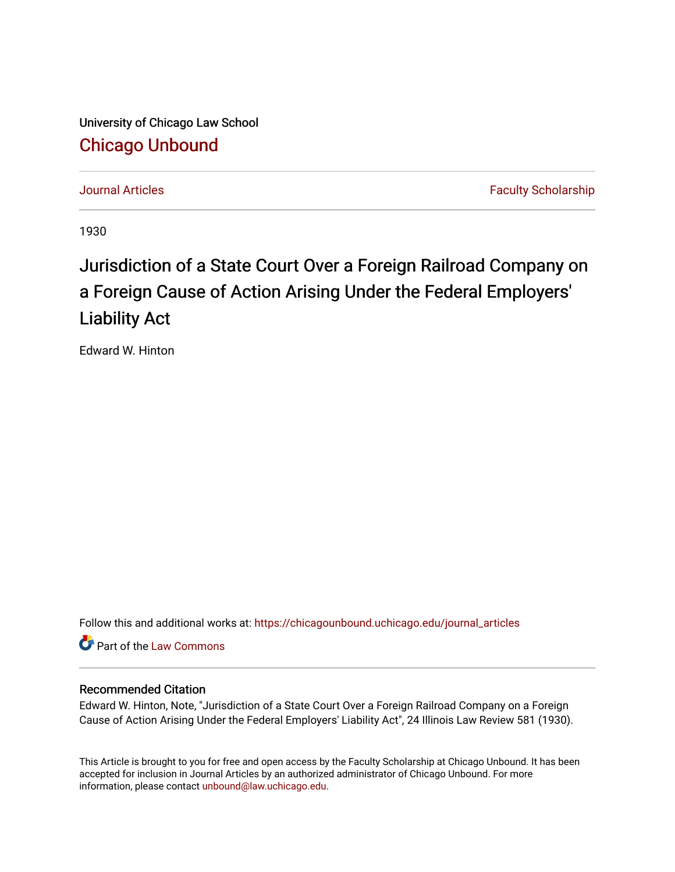University of Chicago Law School [Chicago Unbound](https://chicagounbound.uchicago.edu/)

[Journal Articles](https://chicagounbound.uchicago.edu/journal_articles) **Faculty Scholarship Journal Articles** 

1930

## Jurisdiction of a State Court Over a Foreign Railroad Company on a Foreign Cause of Action Arising Under the Federal Employers' Liability Act

Edward W. Hinton

Follow this and additional works at: [https://chicagounbound.uchicago.edu/journal\\_articles](https://chicagounbound.uchicago.edu/journal_articles?utm_source=chicagounbound.uchicago.edu%2Fjournal_articles%2F9196&utm_medium=PDF&utm_campaign=PDFCoverPages) 

Part of the [Law Commons](http://network.bepress.com/hgg/discipline/578?utm_source=chicagounbound.uchicago.edu%2Fjournal_articles%2F9196&utm_medium=PDF&utm_campaign=PDFCoverPages)

## Recommended Citation

Edward W. Hinton, Note, "Jurisdiction of a State Court Over a Foreign Railroad Company on a Foreign Cause of Action Arising Under the Federal Employers' Liability Act", 24 Illinois Law Review 581 (1930).

This Article is brought to you for free and open access by the Faculty Scholarship at Chicago Unbound. It has been accepted for inclusion in Journal Articles by an authorized administrator of Chicago Unbound. For more information, please contact [unbound@law.uchicago.edu](mailto:unbound@law.uchicago.edu).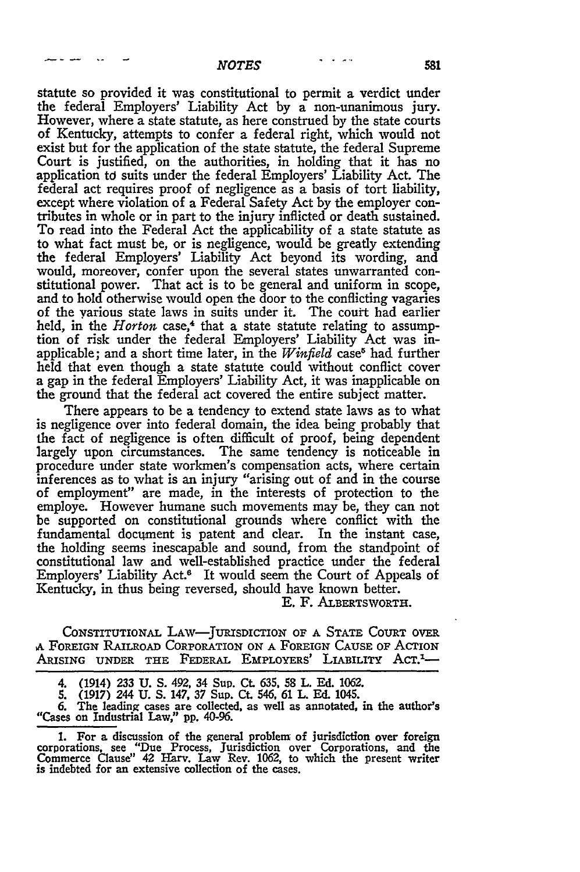statute so provided it was constitutional to permit a verdict under the federal Employers' Liability Act **by** a non-unanimous jury. However, where a state statute, as here construed by the state courts of Kentucky, attempts to confer a federal right, which would not exist but for the application of the state statute, the federal Supreme Court is justified, on the authorities, in holding that it has no application td suits under the federal Employers' Liability Act. The federal act requires proof of negligence as a basis of tort liability, except where violation of a Federal Safety Act by the employer contributes in whole or in part to the injury inflicted or death sustained. To read into the Federal Act the applicability of a state statute as to what fact must be, or is negligence, would be greatly extending the federal Employers' Liability Act beyond its wording, and would, moreover, confer upon the several states unwarranted constitutional power. That act is to be general and uniform in scope, and to hold otherwise would open the door to the conflicting vagaries of the various state laws in suits under it. The court had earlier held, in the *Horton* case,<sup>4</sup> that a state statute relating to assumption of risk under the federal Employers' Liability Act was inapplicable; and a short time later, in the *Winfield* case<sup>6</sup> had further held that even though a state statute could without conflict cover a gap in the federal Employers' Liability Act, it was inapplicable on the ground that the federal act covered the entire subject matter.

There appears to be a tendency to extend state laws as to what is negligence over into federal domain, the idea being probably that the fact of negligence is often difficult of proof, being dependent largely upon circumstances. The same tendency is noticeable in procedure under state workmen's compensation acts, where certain inferences as to what is an injury "arising out of and in the course of employment" are made, in the interests of protection to the employe. However humane such movements may be, they can not be supported on constitutional grounds where conflict with the fundamental document is patent and clear. In the instant case, the holding seems inescapable and sound, from the standpoint of constitutional law and well-established practice under the federal Employers' Liability Act.<sup>6</sup> It would seem the Court of Appeals of Kentucky, in thus being reversed, should have known better.

E. F. ALBERTSWORTH.

CONSTITUTIONAL LAw-JURISDICTION OF A STATE COURT OVER **A** FOREIGN RAILROAD CORPORATION **ON** A FOREIGN CAUSE OF AcTION ARISING UNDER THE FEDERAL EMPLOYERS' LIABILITY ACT.<sup>1</sup>-

4. (1914) **233** U. S. 492, 34 Sup. Ct **635,** 58 I Ed. 1062.

**5.** (1917) 244 U. S. 147, 37 Sup. Ct. 546, 61 L. **Ed.** 1045.

**6.** The leading cases are collected, as well as annotated, in the author's "Cases on Industrial Law," **pp.** 40-96.

**1.** For a discussion of the general problem of jurisdiction over foreign corporations, see "Due Process, Jurisdiction over Corporations, and the Commerce Clause!' 42 Harv. Law Rev. 1062, to which the present writer is indebted for an extensive collection of the cases.

 $\bullet$   $\bullet$   $\bullet$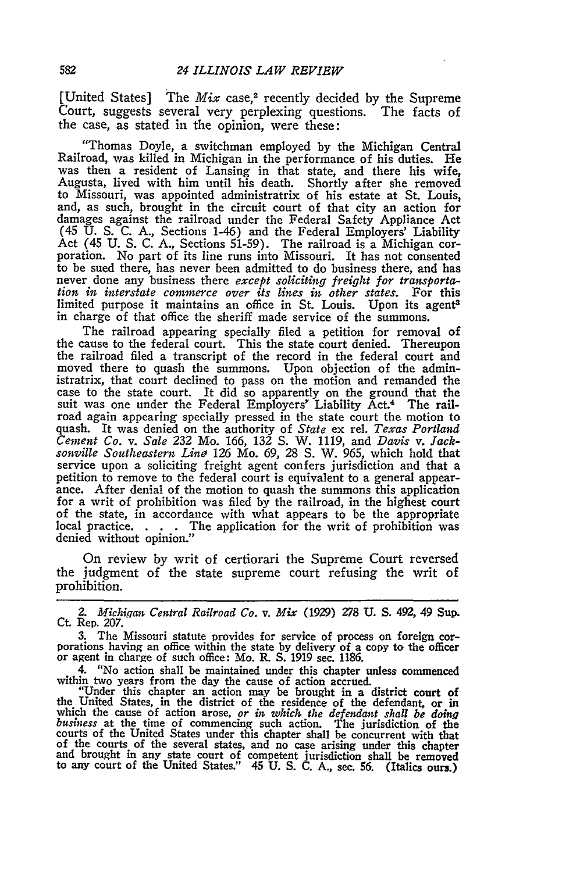[United States] The *Mix* case,<sup>2</sup> recently decided by the Supreme Court, suggests several very perplexing questions. The facts of the case, as stated in the opinion, were these:

"Thomas Doyle, a switchman employed by the Michigan Central Railroad, was killed in Michigan in the performance of his duties. He was then a resident of Lansing in that state, and there his wife, Augusta, lived with him until his death. Shortly after she removed to Missouri, was appointed administratrix of his estate at St. Louis, and, as such, brought in the circuit court of that city an action for damages against the railroad under the Federal Safety Appliance Act (45 U. S. C. A., Sections 1-46) and the Federal Employers' Liability Act (45 U. S. C. A., Sections 51-59). The railroad is a Michigan cor- poration. No part of its line runs into Missouri. It has not consented poration. No part of its line runs into Missouri. It has not consented to be sued there, has never been admitted to do business there, and has never done any business there *except soliciting freight for transportation in interstate commerce over its lines in other states.* For this limited purpose it maintains an office in St. Louis. Upon its agent<sup>3</sup> in charge of that office the sheriff made service of the summons.

The railroad appearing specially filed a petition for removal of the cause to the federal court. This the state court denied. Thereupon the railroad filed a transcript of the record in the federal court and moved there to quash the summons. Upon objection of the admin-<br>istratrix, that court declined to pass on the motion and remanded the istratrix, that court declined to pass on the motion and remanded the case to the state court. It did so apparently on the ground that the suit was one under the Federal Employers' Liability Act.<sup>4</sup> The railroad again appearing specially pressed in the state court the motion to quash. It was denied on the authority of *State* ex rel. *Texas Portland Cement Co. v. Sale* 232 Mo. 166, 132 **S.** W. 1119, and *Davis v. Jacksonville Southeastern Line* 126 Mo. 69, 28 **S.** W. 965, which hold that service upon a soliciting freight agent confers jurisdiction and that a petition to remove to the federal court is equivalent to a general appearance. After denial of the motion to quash the summons this application for a of the state, in accordance with what appears to be the appropriate local practice. . **.** . The application for the writ of prohibition was denied without opinion."

On review by writ of certiorari the Supreme Court reversed the judgment of the state supreme court refusing the writ of prohibition.

*2. Michiqan Central Railroad Co. v. Mix* (1929) *278* **U. S.** 492, 49 Sup. Ct. Rep. 207.

3. The Missouri statute provides for service of process on foreign cor- porations having an office within the state by delivery of a copy to the officer or agent in charge of such office: Mo. R. S. 1919 sec. 1186.

4. "No action shall be maintained under this chapter unless commenced

within two years from the day the cause of action accrued.<br>"Under this chapter an action may be brought in a district court of<br>the United States, in the district of the residence of the defendant, or in<br>which the cause of courts of the United States under this chapter shall be concurrent with that<br>of the courts of the several states, and no case arising under this chapter<br>and brought in any state court of competent jurisdiction shall be rem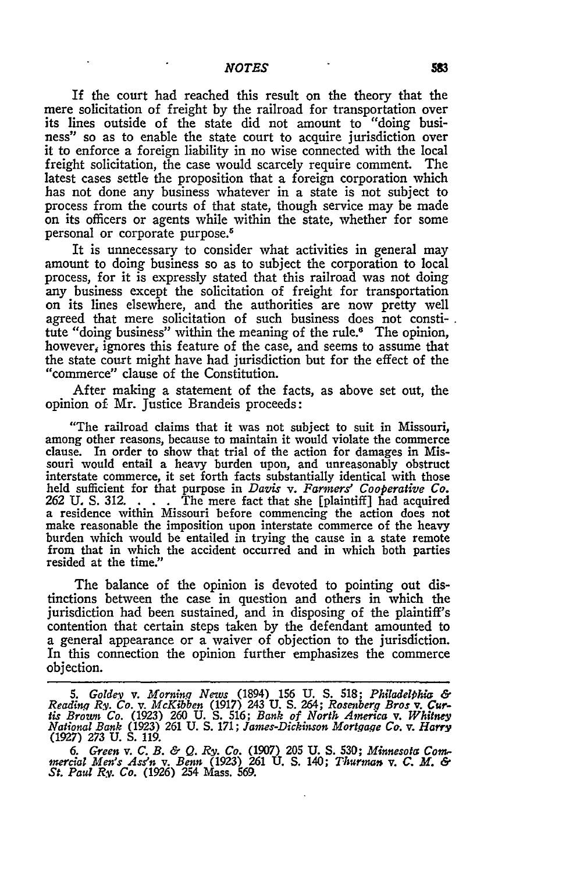If the court had reached this result on the theory that the mere solicitation of freight by the railroad for transportation over its lines outside of the state did not amount to "doing business" so as to enable the state court to acquire jurisdiction over it to enforce a foreign liability in no wise connected with the local freight solicitation, the case would scarcely require comment. The latest cases settle the proposition that a foreign corporation which has not done any business whatever in a state is not subject to process from the courts of that state, though service may be made on its officers or agents while within the state, whether for some personal or corporate purpose.<sup>5</sup>

It is unnecessary to consider what activities in general may amount to doing business so as to subject the corporation to local process, for it is expressly stated that this railroad was not doing any business except the solicitation of freight for transportation on its lines elsewhere, and the authorities are now pretty well agreed that mere solicitation of such business does not constitute "doing business" within the meaning of the rule.<sup>6</sup> The opinion, however, ignores this feature of the case, and seems to assume that the state court might have had jurisdiction but for the effect of the "commerce" clause of the Constitution.

After making a statement of the facts, as above set out, the opinion **of.** Mr. justice Brandeis proceeds:

"The railroad claims that it was not subject to suit in Missouri, among other reasons, because to maintain it would violate the commerce clause. In order to show that trial of the action for damages in Missouri would entail a heavy burden upon, and unreasonably obstruct interstate commerce, it set forth facts substantially identical with those held sufficient for that purpose in *Davis v. Farmers' Cooperative Co.* **262** U. S. 312. . **.** . The mere fact that she [plaintiff] had acquired a residence within Missouri before commencing the action does not make reasonable the imposition upon interstate commerce of the heavy burden which would be entailed in trying the cause in a state remote from that in which the accident occurred and in which both parties resided at the time."

The balance of the opinion is devoted to pointing out distinctions between the case in question and others in which the jurisdiction had been sustained, and in disposing of the plaintiff's contention that certain steps taken by the defendant amounted to a general appearance or a waiver of objection to the jurisdiction. In this connection the opinion further emphasizes the commerce objection.

*<sup>5.</sup> Goldev v. Mornin.q News* (1894) **156 U. S. 518;** *Philadelihia Reading Ry. Co. v. McKibben* **(1917)** 243 **U. S.** 264; *Rosenber.q Bros v. Cur*ris Brown Co. (1923) 260 U. S. 516; Bank of North America v. Whitney<br>National Bank (1923) 261 U. S. 171; James-Dickinson Mortgage Co. v. Harry<br>(1927) 273 U. S. 119.

<sup>6.</sup> Green v. C. B. & Q. Ry. Co. (1907) 205 U. S. 530; Minnesota Commercial Men's Ass'n v. Benn (1923) 261 U. S. 140; Thurman v. C. M. & St. Paul Ry. Co. (1926) 254 Mass. 569.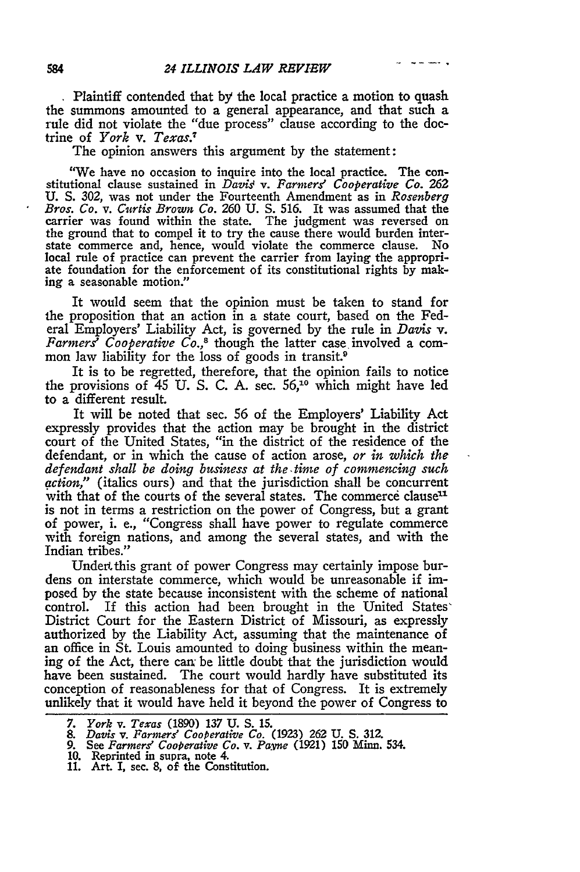**.** Plaintiff contended that **by** the local practice a motion to quash the summons amounted to a general appearance, and that such a rule did not violate the "due process" clause according to the doctrine of *York v. Texas.7*

The opinion answers this argument **by** the statement:

"We have no occasion to inquire into the local practice. The constitutional clause sustained in *Davis v. Farmers Cooperative* **Co. 262** U. **S.** 302, was not under the Fourteenth Amendment as in *Rosenberg Bros. Co. v. Curtis Brown Co. 260* U. S. 516. It was assumed that the carrier was found within the state. The judgment was reversed on the ground that to compel it to try the cause there would burden interstate commerce and, hence, would violate the commerce clause. No local rule of practice can prevent the carrier from laying the appropri- ate foundation for the enforcement of its constitutional rights **by** making a seasonable motion."

It would seem that the opinion must be taken to stand for the proposition that an action in a state court, based on the Federal Employers' Liability Act, is governed **by** the rule in *Davis* v. *Farmers' Cooperative Co.,8* though the latter case involved a common law liability for the loss of goods in transit.<sup>9</sup>

It is to be regretted, therefore, that the opinion fails to notice the provisions of *45* U. S. C. A. sec. **56,"°** which might have led to a different result.

It will be noted that sec. **56** of the Employers' Liability Act expressly provides that the action may be brought in the district court of the United States, "in the district of the residence of the defendant, or in which the cause of action arose, *or in which the defendant shall be doing business at the time of commencing such action,"* (italics ours) and that the jurisdiction shall be concurrent with that of the courts of the several states. The commerce clause<sup>11</sup> is not in terms a restriction on the power of Congress, but a grant of power, i. e., "Congress shall have power to regulate commerce with foreign nations, and among the several states, and with the Indian tribes."

Under, this grant of power Congress may certainly impose burdens on interstate commerce, which would be unreasonable if imposed by the state because inconsistent with the scheme of national control. If this action had been brought in the United States' District Court for the Eastern District of Missouri, as expressly authorized by the Liability Act, assuming that the maintenance of an office in St. Louis amounted to doing business within the meaning of the Act, there can be little doubt that the jurisdiction would have been sustained. The court would hardly have substituted its conception of reasonableness for that of Congress. It is extremely unlikely that it would have held it beyond the power of Congress to

*<sup>7.</sup> York v. Texas* (1890) 137 U. **S. 15.**

*<sup>8.</sup> Davis v. Farmers" CooPerative Co.* **(1923) 262 U. S. 312.**

*<sup>9.</sup>* See *Farmers' Cooperative Co. v. Pavne* **(1921) 150 Minn.** 534.

**<sup>10.</sup>** Reprinted in supra, note 4. **11.** Art. I, sec. **8,** of **the** Constitution.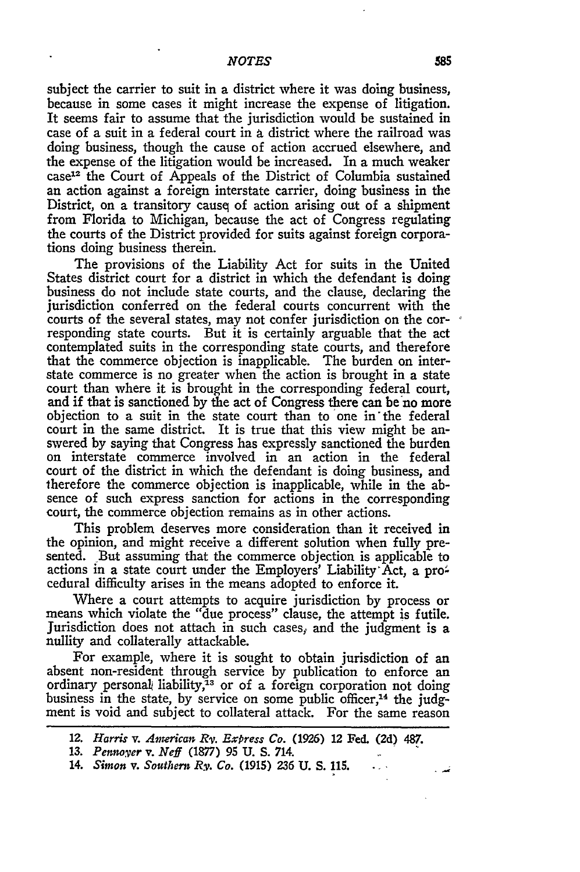subject the carrier to suit in a district where it was doing business, because in some cases it might increase the expense of litigation. It seems fair to assume that the jurisdiction would be sustained in case of a suit in a federal court in a district where the railroad was doing business, though the cause of action accrued elsewhere, and the expense of the litigation would be increased. In a much weaker case<sup>12</sup> the Court of Appeals of the District of Columbia sustained an action against a foreign interstate carrier, doing business in the District, on a transitory causq of action arising out of a shipment from Florida to Michigan, because the act of Congress regulating the courts of the District provided for suits against foreign corpora- tions doing business therein.

The provisions of the Liability Act for suits in the United States district court for a district in which the defendant is doing business do not include state courts, and the clause, declaring the jurisdiction conferred on the federal courts concurrent with the courts of the several states, may not confer jurisdiction on the corresponding state courts. But it is certainly arguable that the act contemplated suits in the corresponding state courts, and therefore that the commerce objection is inapplicable. The burden on interstate commerce is no greater when the action is brought in a state court than where it is brought in the corresponding federal court, and if that is sanctioned by the act of Congress there can be'no more objection to a suit in the state court than to one in'the federal court in the same district. It is true that this view might be answered by saying that Congress has expressly sanctioned the burden on interstate commerce involved in an action in the federal court of the district in which the defendant is doing business, and therefore the commerce objection is inapplicable, while in the absence of such express sanction for actions in the corresponding court, the commerce objection remains as in other actions.

This problem deserves more consideration than it received in the opinion, and might receive a different solution when fully pre- sented. But assuming that the commerce objection is applicable to actions in a state court under the Employers' Liability Act, a procedural difficulty arises in the means adopted to enforce it.

Where a court attempts to acquire jurisdiction by process or means which violate the "due process" clause, the attempt is futile. Jurisdiction does not attach in such cases, and the judgment is a nullity and collaterally attackable.

For example, where it is sought to obtain jurisdiction of an absent non-resident through service by publication to enforce an ordinary personal liability, $\bar{A}^3$  or of a foreign corporation not doing business in the state, by service on some public officer,<sup>14</sup> the judgment is void and subject to collateral attack. For the same reason

*<sup>12.</sup> Harris v. American Rv. Express Co.* **(1926) 12** Fed. (2d) **487.**

**<sup>13.</sup>** *Pennover v. Neff* **(1877) 95 U. S. 714.**

**<sup>14.</sup>** *Simon v. Southern Ry. Co.* **(1915) 236 U. S. 115.**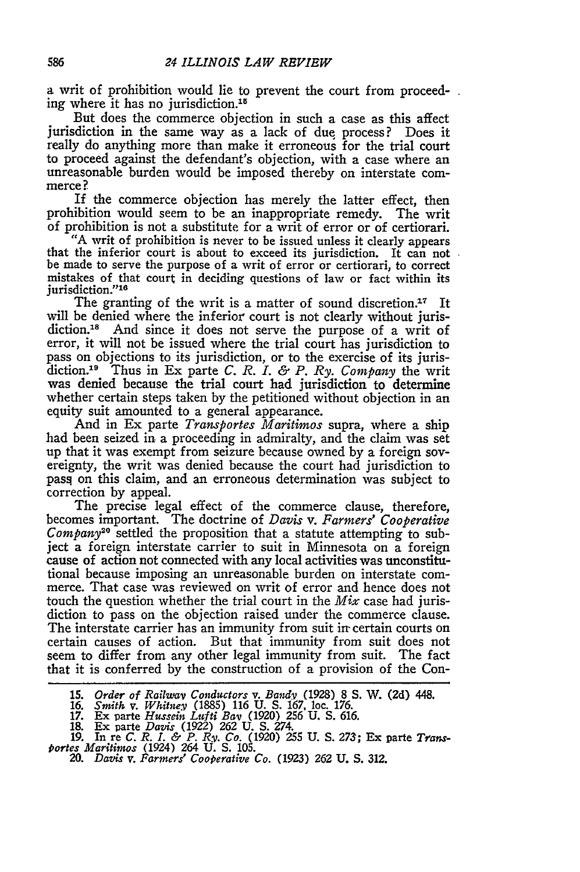a writ of prohibition would lie to prevent the court from proceeding where it has no jurisdiction.<sup>15</sup>

But does the commerce objection in such a case as this affect jurisdiction in the same way as a lack of due process? Does it really do anything more than make it erroneous for the trial court to proceed against the defendant's objection, with a case where an unreasonable burden would be imposed thereby on interstate commerce?

If the commerce objection has merely the latter effect, then prohibition would seem to be an inappropriate remedy. The writ of prohibition is not a substitute for a writ of error or of certiorari.

that the inferior court is about to exceed its jurisdiction. It can not be made to serve the purpose of a writ of error or certiorari, to correct mistakes of that court in deciding questions of law or fact within its jurisdiction."16

The granting of the writ is a matter of sound discretion.<sup>17</sup> It will be denied where the inferior court is not clearly without jurisdiction.18 **And** since it does not serve the purpose of a writ of error, it will not be issued where the trial court has jurisdiction to pass on objections to its jurisdiction, or to the exercise of its jurisdiction.19 Thus in Ex parte *C. R. I. & P. Ry. Company* the writ was denied because the trial court had jurisdiction to determine whether certain steps taken **by** the petitioned without objection in an equity suit amounted to a general appearance.

And in Ex parte *Transportes Maritimos* supra, where a ship had been seized in a proceeding in admiralty, and the claim was set up that it was exempt from seizure because owned **by** a foreign sovereignty, the writ was denied because the court had jurisdiction to pasq on this claim, and an erroneous determination was subject to correction **by** appeal.

The precise legal effect of the commerce clause, therefore, becomes important. The doctrine of Davis *v. Farmers' Cooperative Company20* settled the proposition that a statute attempting to subject a foreign interstate carrier to suit in Minnesota on a foreign cause of action not connected with any local activities was unconstitutional because imposing an unreasonable burden on interstate commerce. That case was reviewed on writ of error and hence does not touch the question whether the trial court in the *Mix* case had jurisdiction to pass on the objection raised under the commerce clause. The interstate carrier has an immunity from suit **ir** certain courts on certain causes of action. But that immunity from suit does not seem to differ from any other legal immunity from suit. The fact that it is conferred **by** the construction of a provision of the Con-

<sup>15.</sup> Order of Railway Conductors v. Bandy (1928) 8 S. W. (2d) 448.<br>16. *Smith v. Whitney (1885) 116 U. S. 167, loc. 176.*<br>17. Ex parte Hussein Lufti Bay (1920) 256 U. S. 616.

**<sup>1</sup>M** Ex Parte *Davis* **(1922) 262 U. S.** 274. *19.* In re *C. R.* L *& P. Ry. Co.* **(1920) 255 U. S.** 273; Ex parte *Transtortes Marititnos* (1924) 264 **U. S. 105.** 20. *Davis v. Farmers' Cooperative Co.* (1923) **262 U. S. 312.**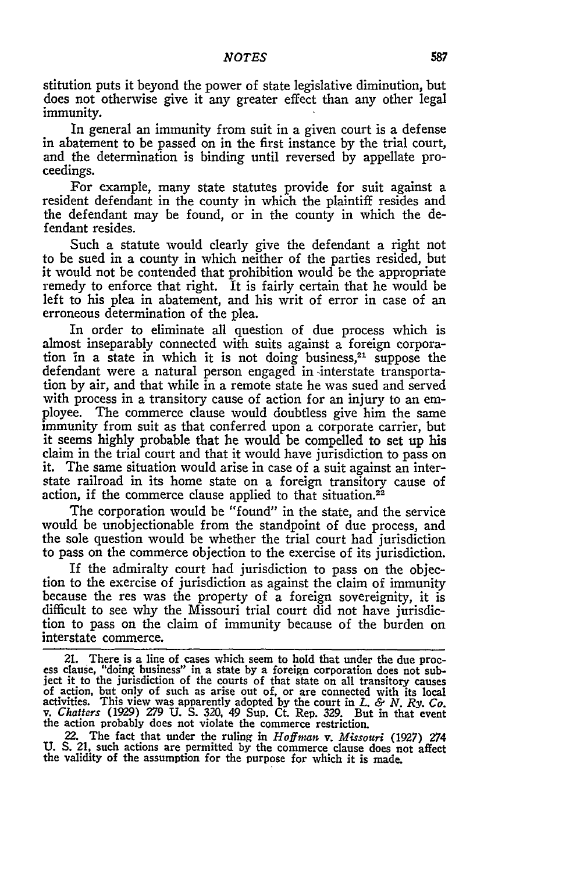stitution puts it beyond the power of state legislative diminution, but does not otherwise give it any greater effect than any other legal immunity.

In general an immunity from suit in a given court is a defense in abatement to be passed on in the first instance **by** the trial court, and the determination is binding until reversed **by** appellate proceedings.

For example, many state statutes provide for suit against a resident defendant in the county in which the plaintiff resides and the defendant may be found, or in the county in which the defendant resides.

Such a statute would clearly give the defendant a right not to be sued in a county in which neither of the parties resided, but it would not be contended that prohibition would be the appropriate remedy to enforce that right. It is fairly certain that he would be left to his plea in abatement, and his writ of error in case of an erroneous determination of the plea.

In order to eliminate all question of due process which is almost inseparably connected with suits against a foreign corporation in a state in which it is not doing business,<sup>21</sup> suppose the defendant were a natural person engaged in-interstate transporta- tion **by** air, and that while in a remote state he was sued and served with process in a transitory cause of action for an injury to an employee. The commerce clause would doubtless give him the same immunity from suit as that conferred upon a corporate carrier, but it seems **highly** probable that he would be compelled to set up his claim in the trial court and that it would have jurisdiction to pass on it. The same situation would arise in case of a suit against an interstate railroad in its home state on a foreign transitory cause of action, if the commerce clause applied to that situation.<sup>22</sup>

The corporation would be "found" in the state, and the service would be unobjectionable from the standpoint of due process, and the sole question would be whether the trial court had jurisdiction to pass on the commerce objection to the exercise of its jurisdiction.

If the admiralty court had jurisdiction to pass on the objection to the exercise of jurisdiction as against the claim of immunity because the res was the property of a foreign sovereignity, it is difficult to see why the Missouri trial court did not have jurisdiction to pass on the claim of immunity because of the burden on interstate commerce.

22. The fact that under the ruling in *Hoffman v. Missouri* **(1927)** 274 **U. S. 21,** such actions are permitted **by** the commerce clause does not affect the validity of the assumption for the purpose for which it is made.

<sup>21.</sup> There is a line of cases which seem to hold that under the due process clause, "doing business" in a state **by** a foreign corporation does not sub-ject it to the jurisdiction of the courts of that state on all transitory causes of action, but only of such as arise out of, or are connected with its local<br>activities. This view was apparently adopted by the court in L. & N. Ry. Co<br>v. Chatters (1929) 279 U. S. 320, 49 Sup. Ct. Rep. 329. But in that the action probably does not violate the commerce restriction.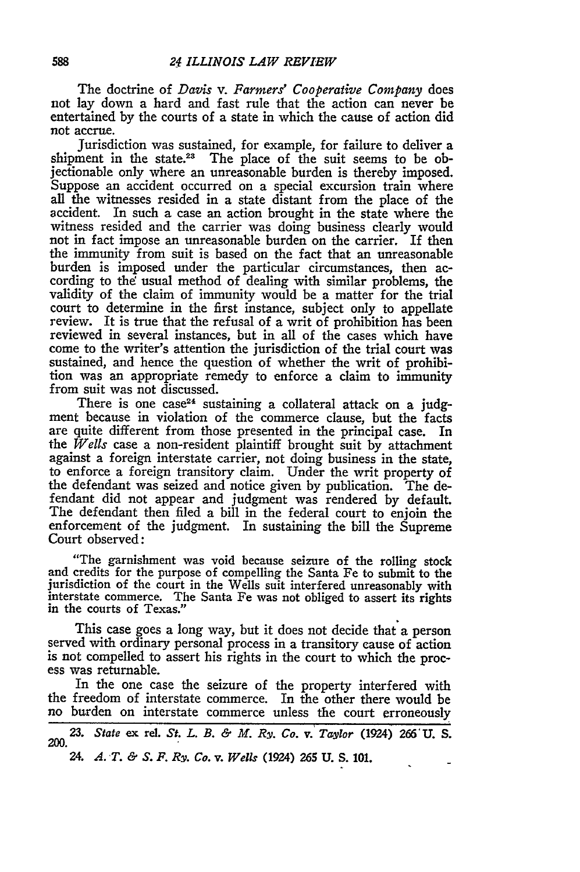The doctrine of *Davis v. Farmers' Cooperative Company* does not lay down a hard and fast rule that the action can never be entertained **by** the courts of a state in which the cause of action did not accrue.

Jurisdiction was sustained, for example, for failure to deliver a shipment in the state.<sup>23</sup> The place of the suit seems to be objectionable only where an unreasonable burden is thereby imposed. Suppose an accident occurred on a special excursion train where all the witnesses resided in a state distant from the place of the accident. In such a case an action brought in the state where the witness resided and the carrier was doing business clearly would not in fact impose an unreasonable burden on the carrier. If then the immunity from suit is based on the fact that an unreasonable burden is imposed under the particular circumstances, then according to the usual method of dealing with similar problems, the validity of the claim of immunity would be a matter for the trial court to determine in the first instance, subject only to appellate review. It is true that the refusal of a writ of prohibition has been reviewed in several instances, but in all of the cases which have come to the writer's attention the jurisdiction of the trial court was sustained, and hence the question of whether the writ of prohibi- tion was an appropriate remedy to enforce a claim to immunity from suit was not discussed.

There is one case<sup>24</sup> sustaining a collateral attack on a judgment because in violation of the commerce clause, but the facts are quite different from those presented in the principal case. In the *Wells* case a non-resident plaintiff brought suit **by** attachment against a foreign interstate carrier, not doing business in the state, to enforce a foreign transitory claim. Under the writ property of the defendant was seized and notice given **by** publication. The defendant did not appear and judgment was rendered **by** default. The defendant then filed a bill in the federal court to enjoin the enforcement of the judgment. In sustaining the bill the Supreme Court observed:

"The garnishment was void because seizure **of** the rolling stock and credits for the purpose of compelling the Santa Fe to submit to the jurisdiction of the court in the Wells suit interfered unreasonably with interstate commerce. The Santa Fe was not obliged to assert its rights in the courts of Texas."

This case goes a long way, but it does not decide that a person served with ordinary personal process in a transitory cause of action is not compelled to assert his rights in the court to which the process was returnable.

In the one case the seizure of the property interfered with the freedom of interstate commerce. In the other there would be no burden on interstate commerce unless the court erroneously

*23. State* ex rel. *St. L. B. & M. Ry. Co. v. Taylor* (1924) **266'U. S. 200.**

*24. A. T. & S. F. Ry. Co. v. Wells* (1924) **265 U. S. 101.**